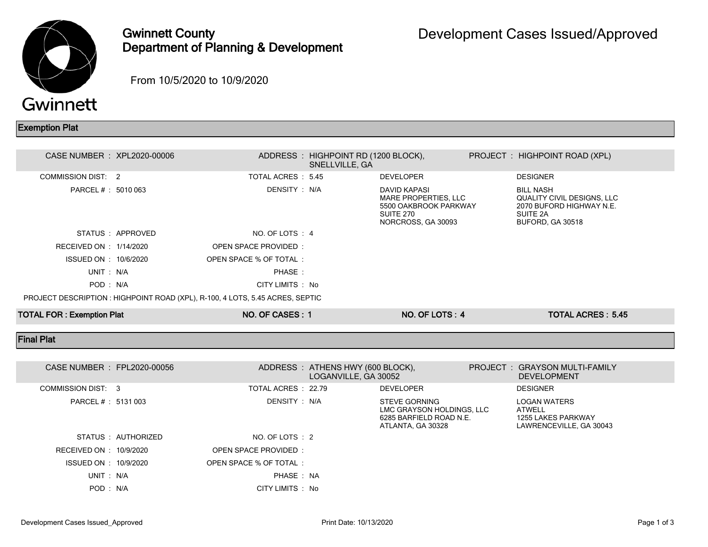

## Gwinnett County Department of Planning & Development

From 10/5/2020 to 10/9/2020

## Exemption Plat

| CASE NUMBER : XPL2020-00006      |                 |                                                                               | ADDRESS: HIGHPOINT RD (1200 BLOCK),<br>SNELLVILLE, GA |                                                                                                  | PROJECT : HIGHPOINT ROAD (XPL)                                                                             |  |
|----------------------------------|-----------------|-------------------------------------------------------------------------------|-------------------------------------------------------|--------------------------------------------------------------------------------------------------|------------------------------------------------------------------------------------------------------------|--|
| COMMISSION DIST: 2               |                 | TOTAL ACRES : 5.45                                                            |                                                       | <b>DEVELOPER</b>                                                                                 | <b>DESIGNER</b>                                                                                            |  |
| PARCEL # : 5010 063              |                 | DENSITY : N/A                                                                 |                                                       | DAVID KAPASI<br>MARE PROPERTIES, LLC<br>5500 OAKBROOK PARKWAY<br>SUITE 270<br>NORCROSS, GA 30093 | <b>BILL NASH</b><br>QUALITY CIVIL DESIGNS, LLC<br>2070 BUFORD HIGHWAY N.E.<br>SUITE 2A<br>BUFORD, GA 30518 |  |
|                                  | STATUS APPROVED | NO. OF LOTS : 4                                                               |                                                       |                                                                                                  |                                                                                                            |  |
| RECEIVED ON : 1/14/2020          |                 | OPEN SPACE PROVIDED:                                                          |                                                       |                                                                                                  |                                                                                                            |  |
| ISSUED ON : 10/6/2020            |                 | OPEN SPACE % OF TOTAL:                                                        |                                                       |                                                                                                  |                                                                                                            |  |
| UNIT: N/A                        |                 | PHASE:                                                                        |                                                       |                                                                                                  |                                                                                                            |  |
| POD: N/A                         |                 | CITY LIMITS : No                                                              |                                                       |                                                                                                  |                                                                                                            |  |
|                                  |                 | PROJECT DESCRIPTION : HIGHPOINT ROAD (XPL), R-100, 4 LOTS, 5.45 ACRES, SEPTIC |                                                       |                                                                                                  |                                                                                                            |  |
| <b>TOTAL FOR: Exemption Plat</b> |                 | NO. OF CASES: 1                                                               |                                                       | NO. OF LOTS: 4                                                                                   | <b>TOTAL ACRES: 5.45</b>                                                                                   |  |

## Final Plat

|                    |                         | CASE NUMBER : FPL2020-00056 |                        |               | ADDRESS : ATHENS HWY (600 BLOCK),<br>LOGANVILLE, GA 30052 |                                                                                                   | PROJECT: GRAYSON MULTI-FAMILY<br><b>DEVELOPMENT</b>                                   |  |
|--------------------|-------------------------|-----------------------------|------------------------|---------------|-----------------------------------------------------------|---------------------------------------------------------------------------------------------------|---------------------------------------------------------------------------------------|--|
| COMMISSION DIST: 3 |                         |                             | TOTAL ACRES : 22.79    |               |                                                           | DEVELOPER                                                                                         | <b>DESIGNER</b>                                                                       |  |
|                    | PARCEL # : 5131 003     |                             |                        | DENSITY : N/A |                                                           | <b>STEVE GORNING</b><br>LMC GRAYSON HOLDINGS, LLC<br>6285 BARFIELD ROAD N.E.<br>ATLANTA, GA 30328 | <b>LOGAN WATERS</b><br><b>ATWELL</b><br>1255 LAKES PARKWAY<br>LAWRENCEVILLE, GA 30043 |  |
|                    |                         | STATUS : AUTHORIZED         | NO. OF LOTS : 2        |               |                                                           |                                                                                                   |                                                                                       |  |
|                    | RECEIVED ON : 10/9/2020 |                             | OPEN SPACE PROVIDED:   |               |                                                           |                                                                                                   |                                                                                       |  |
|                    | ISSUED ON : 10/9/2020   |                             | OPEN SPACE % OF TOTAL: |               |                                                           |                                                                                                   |                                                                                       |  |
|                    | UNIT: N/A               |                             |                        | PHASE: NA     |                                                           |                                                                                                   |                                                                                       |  |
|                    | POD : N/A               |                             | CITY LIMITS : No       |               |                                                           |                                                                                                   |                                                                                       |  |
|                    |                         |                             |                        |               |                                                           |                                                                                                   |                                                                                       |  |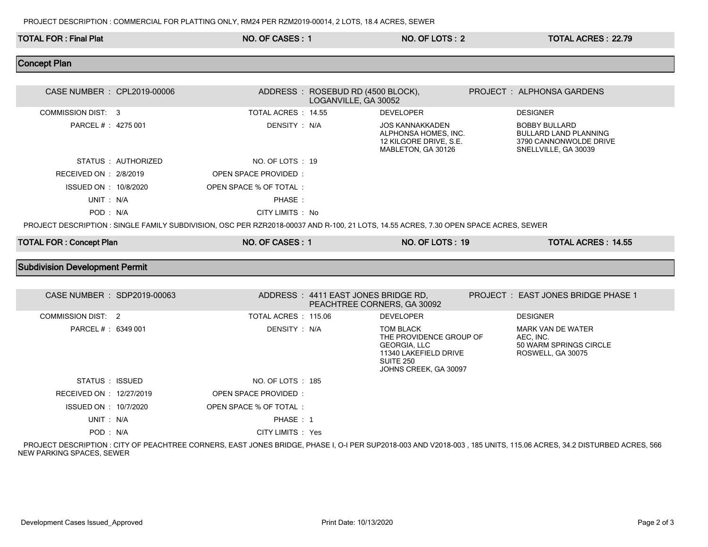| <b>TOTAL FOR: Final Plat</b>          |                     | NO. OF CASES: 1                                                                                                                      |                                                           | NO. OF LOTS: 2                                                                                                                           | <b>TOTAL ACRES: 22.79</b>                                                                                                                                          |
|---------------------------------------|---------------------|--------------------------------------------------------------------------------------------------------------------------------------|-----------------------------------------------------------|------------------------------------------------------------------------------------------------------------------------------------------|--------------------------------------------------------------------------------------------------------------------------------------------------------------------|
| <b>Concept Plan</b>                   |                     |                                                                                                                                      |                                                           |                                                                                                                                          |                                                                                                                                                                    |
| CASE NUMBER : CPL2019-00006           |                     |                                                                                                                                      |                                                           |                                                                                                                                          | PROJECT : ALPHONSA GARDENS                                                                                                                                         |
|                                       |                     |                                                                                                                                      | ADDRESS: ROSEBUD RD (4500 BLOCK),<br>LOGANVILLE, GA 30052 |                                                                                                                                          |                                                                                                                                                                    |
| <b>COMMISSION DIST: 3</b>             |                     | TOTAL ACRES : 14.55                                                                                                                  |                                                           | <b>DEVELOPER</b>                                                                                                                         | <b>DESIGNER</b>                                                                                                                                                    |
| PARCEL # : 4275 001                   |                     | DENSITY: N/A                                                                                                                         |                                                           | <b>JOS KANNAKKADEN</b><br>ALPHONSA HOMES. INC.<br>12 KILGORE DRIVE, S.E.<br>MABLETON, GA 30126                                           | <b>BOBBY BULLARD</b><br><b>BULLARD LAND PLANNING</b><br>3790 CANNONWOLDE DRIVE<br>SNELLVILLE, GA 30039                                                             |
|                                       | STATUS : AUTHORIZED | NO. OF LOTS : 19                                                                                                                     |                                                           |                                                                                                                                          |                                                                                                                                                                    |
| RECEIVED ON : 2/8/2019                |                     | <b>OPEN SPACE PROVIDED:</b>                                                                                                          |                                                           |                                                                                                                                          |                                                                                                                                                                    |
| ISSUED ON : 10/8/2020                 |                     | OPEN SPACE % OF TOTAL:                                                                                                               |                                                           |                                                                                                                                          |                                                                                                                                                                    |
| UNIT: N/A                             |                     | PHASE:                                                                                                                               |                                                           |                                                                                                                                          |                                                                                                                                                                    |
| POD: N/A                              |                     | CITY LIMITS : No                                                                                                                     |                                                           |                                                                                                                                          |                                                                                                                                                                    |
|                                       |                     | PROJECT DESCRIPTION : SINGLE FAMILY SUBDIVISION, OSC PER RZR2018-00037 AND R-100, 21 LOTS, 14.55 ACRES, 7.30 OPEN SPACE ACRES, SEWER |                                                           |                                                                                                                                          |                                                                                                                                                                    |
| <b>TOTAL FOR: Concept Plan</b>        |                     | NO. OF CASES: 1                                                                                                                      |                                                           | NO. OF LOTS: 19                                                                                                                          | TOTAL ACRES: 14.55                                                                                                                                                 |
| <b>Subdivision Development Permit</b> |                     |                                                                                                                                      |                                                           |                                                                                                                                          |                                                                                                                                                                    |
|                                       |                     |                                                                                                                                      |                                                           |                                                                                                                                          |                                                                                                                                                                    |
| CASE NUMBER : SDP2019-00063           |                     |                                                                                                                                      | ADDRESS: 4411 EAST JONES BRIDGE RD,                       | PEACHTREE CORNERS, GA 30092                                                                                                              | PROJECT : EAST JONES BRIDGE PHASE 1                                                                                                                                |
| <b>COMMISSION DIST: 2</b>             |                     | TOTAL ACRES: 115.06                                                                                                                  |                                                           | <b>DEVELOPER</b>                                                                                                                         | <b>DESIGNER</b>                                                                                                                                                    |
| PARCEL # : 6349 001                   |                     | DENSITY : N/A                                                                                                                        |                                                           | <b>TOM BLACK</b><br>THE PROVIDENCE GROUP OF<br><b>GEORGIA, LLC</b><br>11340 LAKEFIELD DRIVE<br><b>SUITE 250</b><br>JOHNS CREEK, GA 30097 | <b>MARK VAN DE WATER</b><br>AEC. INC.<br>50 WARM SPRINGS CIRCLE<br>ROSWELL, GA 30075                                                                               |
| STATUS: ISSUED                        |                     | NO. OF LOTS : 185                                                                                                                    |                                                           |                                                                                                                                          |                                                                                                                                                                    |
| RECEIVED ON : 12/27/2019              |                     | <b>OPEN SPACE PROVIDED:</b>                                                                                                          |                                                           |                                                                                                                                          |                                                                                                                                                                    |
| ISSUED ON : 10/7/2020                 |                     | OPEN SPACE % OF TOTAL:                                                                                                               |                                                           |                                                                                                                                          |                                                                                                                                                                    |
| UNIT: N/A                             |                     | PHASE: 1                                                                                                                             |                                                           |                                                                                                                                          |                                                                                                                                                                    |
| POD: N/A                              |                     | CITY LIMITS : Yes                                                                                                                    |                                                           |                                                                                                                                          |                                                                                                                                                                    |
|                                       |                     |                                                                                                                                      |                                                           |                                                                                                                                          | PROJECT DESCRIPTION : CITY OF PEACHTREE CORNERS, EAST JONES BRIDGE, PHASE I, O-I PER SUP2018-003 AND V2018-003, 185 UNITS, 115.06 ACRES, 34.2 DISTURBED ACRES, 566 |

NEW PARKING SPACES, SEWER